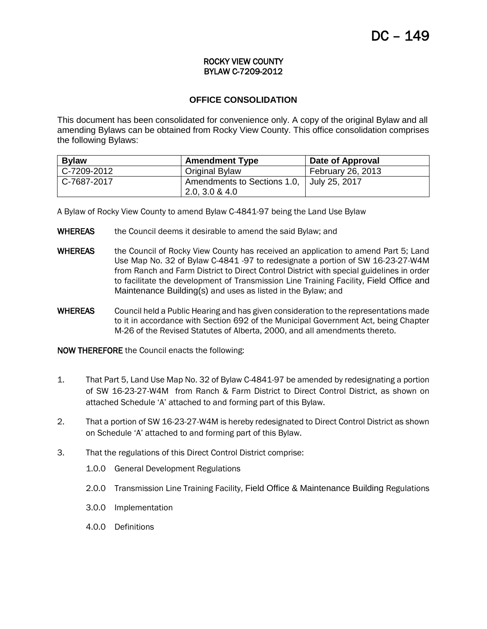#### ROCKY VIEW COUNTY BYLAW C-7209-2012

# **OFFICE CONSOLIDATION**

This document has been consolidated for convenience only. A copy of the original Bylaw and all amending Bylaws can be obtained from Rocky View County. This office consolidation comprises the following Bylaws:

| <b>Bylaw</b> | <b>Amendment Type</b>                     | Date of Approval  |
|--------------|-------------------------------------------|-------------------|
| C-7209-2012  | Original Bylaw                            | February 26, 2013 |
| C-7687-2017  | Amendments to Sections 1.0, July 25, 2017 |                   |
|              | 2.0, 3.0 & 4.0                            |                   |

A Bylaw of Rocky View County to amend Bylaw C-4841-97 being the Land Use Bylaw

- WHEREAS the Council deems it desirable to amend the said Bylaw; and
- WHEREAS the Council of Rocky View County has received an application to amend Part 5; Land Use Map No. 32 of Bylaw C-4841 -97 to redesignate a portion of SW 16-23-27-W4M from Ranch and Farm District to Direct Control District with special guidelines in order to facilitate the development of Transmission Line Training Facility, Field Office and Maintenance Building(s) and uses as listed in the Bylaw; and
- WHEREAS Council held a Public Hearing and has given consideration to the representations made to it in accordance with Section 692 of the Municipal Government Act, being Chapter M-26 of the Revised Statutes of Alberta, 2000, and all amendments thereto.

NOW THEREFORE the Council enacts the following:

- 1. That Part 5, Land Use Map No. 32 of Bylaw C-4841-97 be amended by redesignating a portion of SW 16-23-27-W4M from Ranch & Farm District to Direct Control District, as shown on attached Schedule 'A' attached to and forming part of this Bylaw.
- 2. That a portion of SW 16-23-27-W4M is hereby redesignated to Direct Control District as shown on Schedule 'A' attached to and forming part of this Bylaw.
- 3. That the regulations of this Direct Control District comprise:
	- 1.0.0 General Development Regulations
	- 2.0.0 Transmission Line Training Facility, Field Office & Maintenance Building Regulations
	- 3.0.0 Implementation
	- 4.0.0 Definitions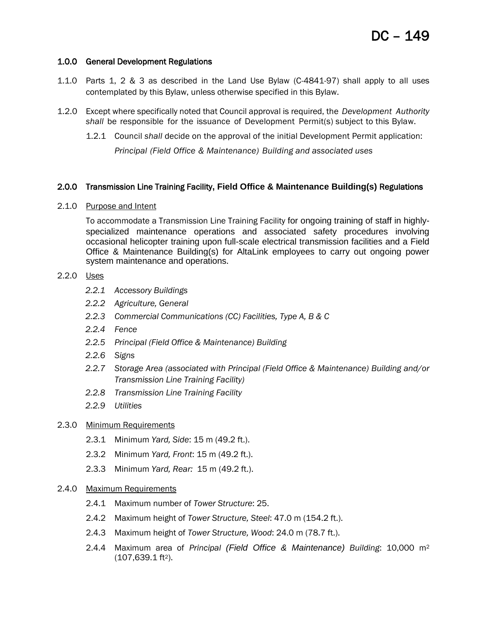## 1.0.0 General Development Regulations

- 1.1.0 Parts 1, 2 & 3 as described in the Land Use Bylaw (C-4841-97) shall apply to all uses contemplated by this Bylaw, unless otherwise specified in this Bylaw.
- 1.2.0 Except where specifically noted that Council approval is required, the *Development Authority shall* be responsible for the issuance of Development Permit(s) subject to this Bylaw.
	- 1.2.1 Council *shall* decide on the approval of the initial Development Permit application:

*Principal (Field Office & Maintenance) Building and associated uses*

# 2.0.0 Transmission Line Training Facility**, Field Office & Maintenance Building(s)** Regulations

2.1.0 Purpose and Intent

To accommodate a Transmission Line Training Facility for ongoing training of staff in highlyspecialized maintenance operations and associated safety procedures involving occasional helicopter training upon full-scale electrical transmission facilities and a Field Office & Maintenance Building(s) for AltaLink employees to carry out ongoing power system maintenance and operations.

## 2.2.0 Uses

- *2.2.1 Accessory Buildings*
- *2.2.2 Agriculture, General*
- *2.2.3 Commercial Communications (CC) Facilities, Type A, B & C*
- *2.2.4 Fence*
- *2.2.5 Principal (Field Office & Maintenance) Building*
- *2.2.6 Signs*
- *2.2.7 Storage Area (associated with Principal (Field Office & Maintenance) Building and/or Transmission Line Training Facility)*
- *2.2.8 Transmission Line Training Facility*
- *2.2.9 Utilities*

#### 2.3.0 Minimum Requirements

- 2.3.1 Minimum *Yard, Side*: 15 m (49.2 ft.).
- 2.3.2 Minimum *Yard, Front*: 15 m (49.2 ft.).
- 2.3.3 Minimum *Yard, Rear:* 15 m (49.2 ft.).

# 2.4.0 Maximum Requirements

- 2.4.1 Maximum number of *Tower Structure*: 25.
- 2.4.2 Maximum height of *Tower Structure, Steel*: 47.0 m (154.2 ft.).
- 2.4.3 Maximum height of *Tower Structure, Wood*: 24.0 m (78.7 ft.).
- 2.4.4 Maximum area of *Principal (Field Office & Maintenance) Building*: 10,000 m<sup>2</sup>  $(107, 639.1 \text{ ft}^2)$ .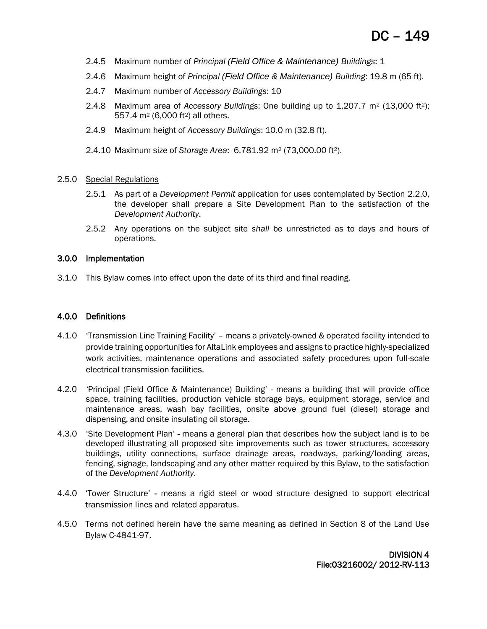- 2.4.5 Maximum number of *Principal (Field Office & Maintenance) Buildings*: 1
- 2.4.6 Maximum height of *Principal (Field Office & Maintenance) Building*: 19.8 m (65 ft).
- 2.4.7 Maximum number of *Accessory Buildings*: 10
- 2.4.8 Maximum area of *Accessory Buildings*: One building up to 1,207.7 m<sup>2</sup> (13,000 ft<sup>2</sup>); 557.4 m<sup>2</sup> (6,000 ft2) all others.
- 2.4.9 Maximum height of *Accessory Buildings*: 10.0 m (32.8 ft).
- 2.4.10 Maximum size of *Storage Area*: 6,781.92 m<sup>2</sup> (73,000.00 ft2).
- 2.5.0 Special Regulations
	- 2.5.1 As part of a *Development Permit* application for uses contemplated by Section 2.2.0, the developer shall prepare a Site Development Plan to the satisfaction of the *Development Authority*.
	- 2.5.2 Any operations on the subject site *shall* be unrestricted as to days and hours of operations.

#### 3.0.0 Implementation

3.1.0 This Bylaw comes into effect upon the date of its third and final reading.

#### 4.0.0 Definitions

- 4.1.0 'Transmission Line Training Facility' means a privately-owned & operated facility intended to provide training opportunities for AltaLink employees and assigns to practice highly-specialized work activities, maintenance operations and associated safety procedures upon full-scale electrical transmission facilities.
- 4.2.0 *'*Principal (Field Office & Maintenance) Building' means a building that will provide office space, training facilities, production vehicle storage bays, equipment storage, service and maintenance areas, wash bay facilities, onsite above ground fuel (diesel) storage and dispensing, and onsite insulating oil storage.
- 4.3.0 'Site Development Plan' means a general plan that describes how the subject land is to be developed illustrating all proposed site improvements such as tower structures, accessory buildings, utility connections, surface drainage areas, roadways, parking/loading areas, fencing, signage, landscaping and any other matter required by this Bylaw, to the satisfaction of the *Development Authority*.
- 4.4.0 'Tower Structure' means a rigid steel or wood structure designed to support electrical transmission lines and related apparatus.
- 4.5.0 Terms not defined herein have the same meaning as defined in Section 8 of the Land Use Bylaw C-4841-97.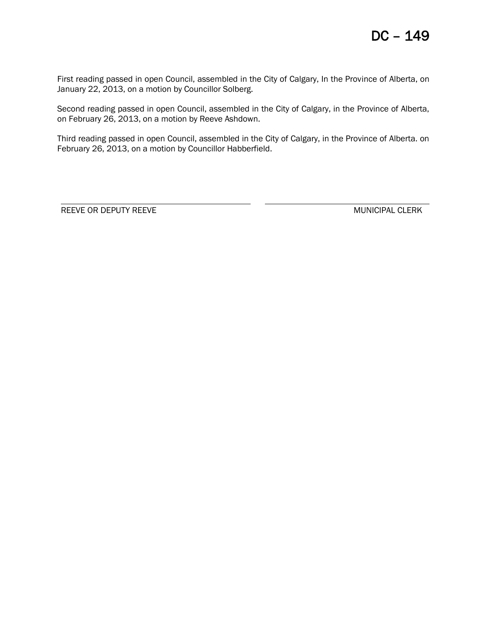First reading passed in open Council, assembled in the City of Calgary, In the Province of Alberta, on January 22, 2013, on a motion by Councillor Solberg.

Second reading passed in open Council, assembled in the City of Calgary, in the Province of Alberta, on February 26, 2013, on a motion by Reeve Ashdown.

Third reading passed in open Council, assembled in the City of Calgary, in the Province of Alberta. on February 26, 2013, on a motion by Councillor Habberfield.

REEVE OR DEPUTY REEVE WAS CONSUMING TO A MUNICIPAL CLERK